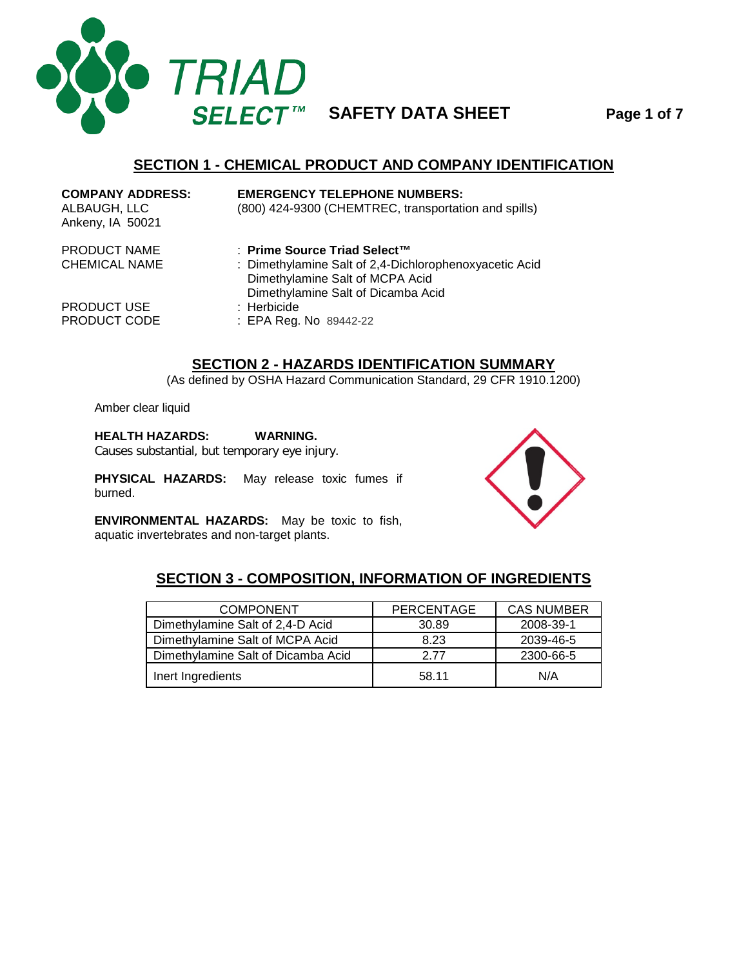

# **SECTION 1 - CHEMICAL PRODUCT AND COMPANY IDENTIFICATION**

| <b>COMPANY ADDRESS:</b><br>ALBAUGH, LLC<br>Ankeny, IA 50021 | <b>EMERGENCY TELEPHONE NUMBERS:</b><br>(800) 424-9300 (CHEMTREC, transportation and spills)                                                                     |
|-------------------------------------------------------------|-----------------------------------------------------------------------------------------------------------------------------------------------------------------|
| PRODUCT NAME<br><b>CHEMICAL NAME</b>                        | ∴ Prime Source Triad Select™<br>: Dimethylamine Salt of 2,4-Dichlorophenoxyacetic Acid<br>Dimethylamine Salt of MCPA Acid<br>Dimethylamine Salt of Dicamba Acid |
| <b>PRODUCT USE</b><br>PRODUCT CODE                          | $:$ Herbicide<br>: EPA Reg. No 89442-22                                                                                                                         |

### **SECTION 2 - HAZARDS IDENTIFICATION SUMMARY**

(As defined by OSHA Hazard Communication Standard, 29 CFR 1910.1200)

Amber clear liquid

#### **HEALTH HAZARDS: WARNING.**

Causes substantial, but temporary eye injury.

**PHYSICAL HAZARDS:** May release toxic fumes if burned.

**ENVIRONMENTAL HAZARDS:** May be toxic to fish, aquatic invertebrates and non-target plants.



#### **SECTION 3 - COMPOSITION, INFORMATION OF INGREDIENTS**

| <b>COMPONENT</b>                   | <b>PERCENTAGE</b> | <b>CAS NUMBER</b> |
|------------------------------------|-------------------|-------------------|
| Dimethylamine Salt of 2,4-D Acid   | 30.89             | 2008-39-1         |
| Dimethylamine Salt of MCPA Acid    | 8.23              | 2039-46-5         |
| Dimethylamine Salt of Dicamba Acid | 2.77              | 2300-66-5         |
| Inert Ingredients                  | 58.11             | N/A               |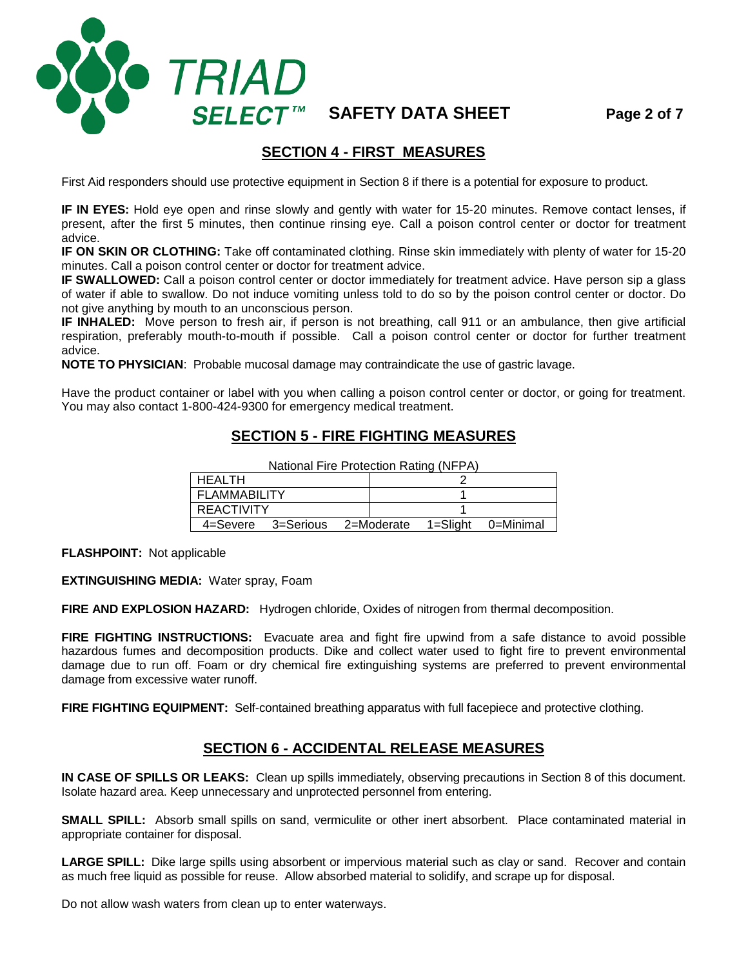**SAFETY DATA SHEET Page 2 of 7**

#### **SECTION 4 - FIRST MEASURES**

First Aid responders should use protective equipment in Section 8 if there is a potential for exposure to product.

**IF IN EYES:** Hold eye open and rinse slowly and gently with water for 15-20 minutes. Remove contact lenses, if present, after the first 5 minutes, then continue rinsing eye. Call a poison control center or doctor for treatment advice.

**IF ON SKIN OR CLOTHING:** Take off contaminated clothing. Rinse skin immediately with plenty of water for 15-20 minutes. Call a poison control center or doctor for treatment advice.

**IF SWALLOWED:** Call a poison control center or doctor immediately for treatment advice. Have person sip a glass of water if able to swallow. Do not induce vomiting unless told to do so by the poison control center or doctor. Do not give anything by mouth to an unconscious person.

**IF INHALED:** Move person to fresh air, if person is not breathing, call 911 or an ambulance, then give artificial respiration, preferably mouth-to-mouth if possible. Call a poison control center or doctor for further treatment advice.

**NOTE TO PHYSICIAN**: Probable mucosal damage may contraindicate the use of gastric lavage.

Have the product container or label with you when calling a poison control center or doctor, or going for treatment. You may also contact 1-800-424-9300 for emergency medical treatment.

### **SECTION 5 - FIRE FIGHTING MEASURES**

| <b>HEALTH</b>       |  |                               |  |          |           |  |
|---------------------|--|-------------------------------|--|----------|-----------|--|
| <b>FLAMMABILITY</b> |  |                               |  |          |           |  |
| <b>REACTIVITY</b>   |  |                               |  |          |           |  |
|                     |  | 4=Severe 3=Serious 2=Moderate |  | 1=Slight | 0=Minimal |  |

National Fire Protection Rating (NFPA)

**FLASHPOINT:** Not applicable

**EXTINGUISHING MEDIA:** Water spray, Foam

**O** TRIAD

**SELECT™** 

**FIRE AND EXPLOSION HAZARD:** Hydrogen chloride, Oxides of nitrogen from thermal decomposition.

**FIRE FIGHTING INSTRUCTIONS:** Evacuate area and fight fire upwind from a safe distance to avoid possible hazardous fumes and decomposition products. Dike and collect water used to fight fire to prevent environmental damage due to run off. Foam or dry chemical fire extinguishing systems are preferred to prevent environmental damage from excessive water runoff.

**FIRE FIGHTING EQUIPMENT:** Self-contained breathing apparatus with full facepiece and protective clothing.

#### **SECTION 6 - ACCIDENTAL RELEASE MEASURES**

**IN CASE OF SPILLS OR LEAKS:** Clean up spills immediately, observing precautions in Section 8 of this document. Isolate hazard area. Keep unnecessary and unprotected personnel from entering.

**SMALL SPILL:** Absorb small spills on sand, vermiculite or other inert absorbent. Place contaminated material in appropriate container for disposal.

**LARGE SPILL:** Dike large spills using absorbent or impervious material such as clay or sand. Recover and contain as much free liquid as possible for reuse. Allow absorbed material to solidify, and scrape up for disposal.

Do not allow wash waters from clean up to enter waterways.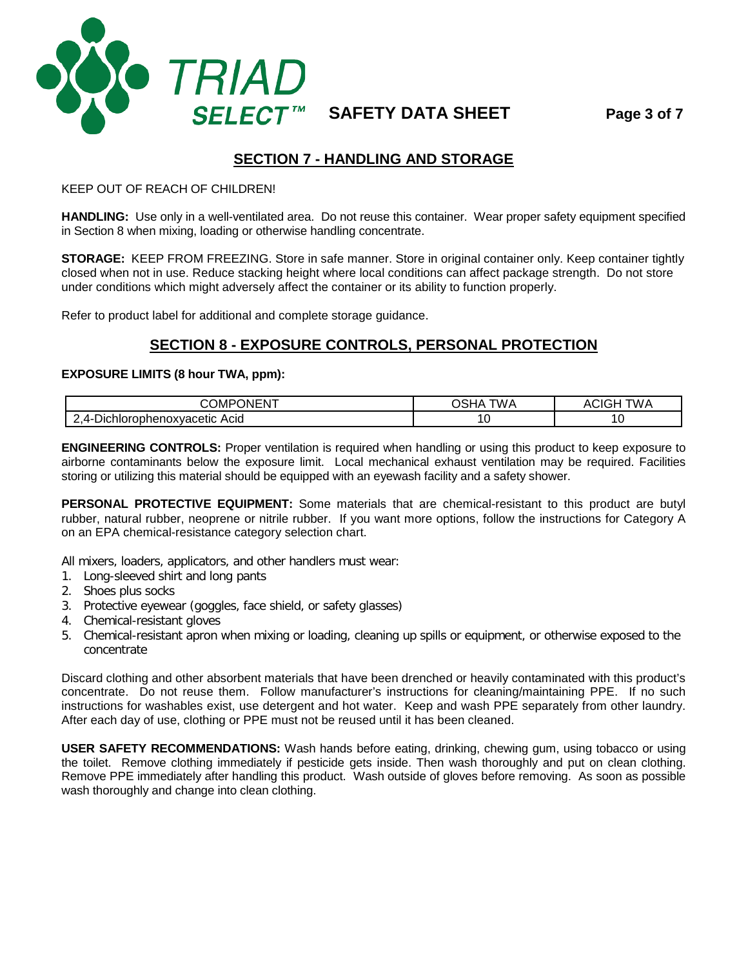

# **SECTION 7 - HANDLING AND STORAGE**

#### KEEP OUT OF REACH OF CHILDREN!

**HANDLING:** Use only in a well-ventilated area. Do not reuse this container. Wear proper safety equipment specified in Section 8 when mixing, loading or otherwise handling concentrate.

**STORAGE:** KEEP FROM FREEZING. Store in safe manner. Store in original container only. Keep container tightly closed when not in use. Reduce stacking height where local conditions can affect package strength. Do not store under conditions which might adversely affect the container or its ability to function properly.

Refer to product label for additional and complete storage guidance.

# **SECTION 8 - EXPOSURE CONTROLS, PERSONAL PROTECTION**

#### **EXPOSURE LIMITS (8 hour TWA, ppm):**

| $\sim$ $\sim$ $\sim$<br>$\sim$<br>)MP<br>JNEN' | "WA | TW A<br>. |
|------------------------------------------------|-----|-----------|
| Acid<br>าrophenoxvacetic<br>Δ.<br>Jichlor      | -   | u         |

**ENGINEERING CONTROLS:** Proper ventilation is required when handling or using this product to keep exposure to airborne contaminants below the exposure limit. Local mechanical exhaust ventilation may be required. Facilities storing or utilizing this material should be equipped with an eyewash facility and a safety shower.

**PERSONAL PROTECTIVE EQUIPMENT:** Some materials that are chemical-resistant to this product are butyl rubber, natural rubber, neoprene or nitrile rubber. If you want more options, follow the instructions for Category A on an EPA chemical-resistance category selection chart.

All mixers, loaders, applicators, and other handlers must wear:

- 1. Long-sleeved shirt and long pants
- 2. Shoes plus socks
- 3. Protective eyewear (goggles, face shield, or safety glasses)
- 4. Chemical-resistant gloves
- 5. Chemical-resistant apron when mixing or loading, cleaning up spills or equipment, or otherwise exposed to the concentrate

Discard clothing and other absorbent materials that have been drenched or heavily contaminated with this product's concentrate. Do not reuse them. Follow manufacturer's instructions for cleaning/maintaining PPE. If no such instructions for washables exist, use detergent and hot water. Keep and wash PPE separately from other laundry. After each day of use, clothing or PPE must not be reused until it has been cleaned.

**USER SAFETY RECOMMENDATIONS:** Wash hands before eating, drinking, chewing gum, using tobacco or using the toilet. Remove clothing immediately if pesticide gets inside. Then wash thoroughly and put on clean clothing. Remove PPE immediately after handling this product. Wash outside of gloves before removing. As soon as possible wash thoroughly and change into clean clothing.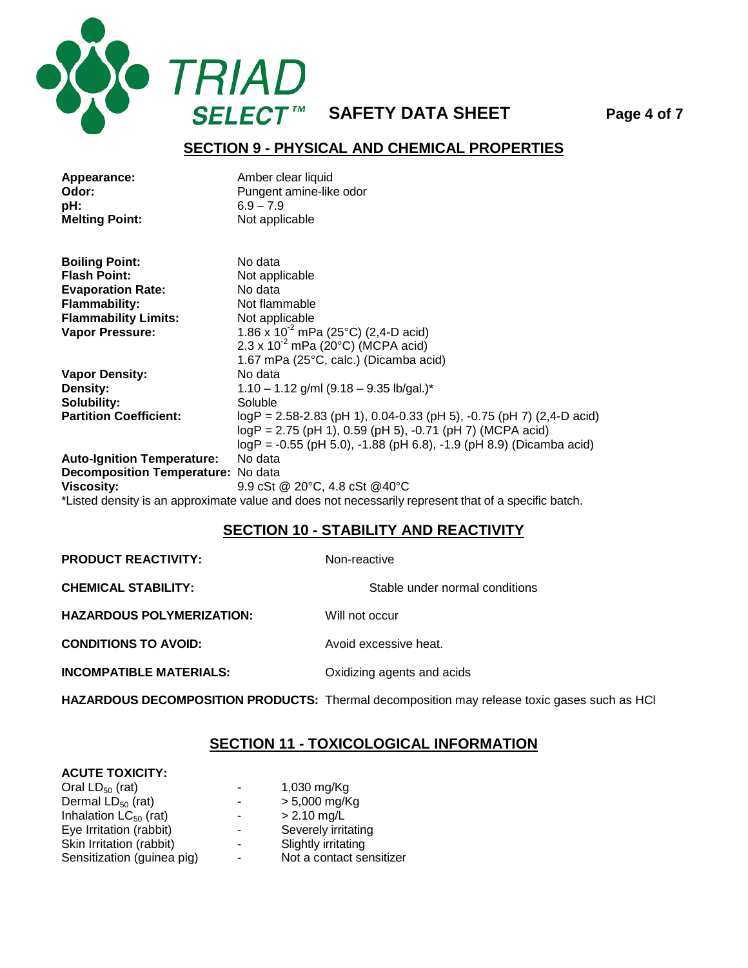

**SAFETY DATA SHEET Page 4 of 7**

#### **SECTION 9 - PHYSICAL AND CHEMICAL PROPERTIES**

| Appearance:<br>Odor:<br>pH:<br><b>Melting Point:</b> | Amber clear liquid<br>Pungent amine-like odor<br>$6.9 - 7.9$<br>Not applicable                       |
|------------------------------------------------------|------------------------------------------------------------------------------------------------------|
|                                                      |                                                                                                      |
| <b>Boiling Point:</b>                                | No data                                                                                              |
| <b>Flash Point:</b>                                  | Not applicable                                                                                       |
| <b>Evaporation Rate:</b>                             | No data                                                                                              |
| <b>Flammability:</b>                                 | Not flammable                                                                                        |
| <b>Flammability Limits:</b>                          | Not applicable                                                                                       |
| Vapor Pressure:                                      | 1.86 x $10^{-2}$ mPa (25°C) (2,4-D acid)                                                             |
|                                                      | $2.3 \times 10^{-2}$ mPa (20°C) (MCPA acid)                                                          |
|                                                      | 1.67 mPa (25°C, calc.) (Dicamba acid)                                                                |
| <b>Vapor Density:</b>                                | No data                                                                                              |
| Density:                                             | $1.10 - 1.12$ g/ml (9.18 - 9.35 lb/gal.)*                                                            |
| Solubility:                                          | Soluble                                                                                              |
| <b>Partition Coefficient:</b>                        | $logP = 2.58 - 2.83$ (pH 1), 0.04-0.33 (pH 5), -0.75 (pH 7) (2,4-D acid)                             |
|                                                      | $logP = 2.75$ (pH 1), 0.59 (pH 5), -0.71 (pH 7) (MCPA acid)                                          |
|                                                      | $logP = -0.55$ (pH 5.0), $-1.88$ (pH 6.8), $-1.9$ (pH 8.9) (Dicamba acid)                            |
| <b>Auto-Ignition Temperature:</b>                    | No data                                                                                              |
| Decomposition Temperature: No data                   |                                                                                                      |
| <b>Viscosity:</b>                                    | 9.9 cSt @ 20°C, 4.8 cSt @40°C                                                                        |
|                                                      | *Listed density is an approximate value and does not necessarily represent that of a specific batch. |
|                                                      | SECTION 10 - STARILITY AND REACTIVITY                                                                |

#### **SECTION 10 - STABILITY AND REACTIVITY**

**PRODUCT REACTIVITY:** Non-reactive **CHEMICAL STABILITY:** Stable under normal conditions **HAZARDOUS POLYMERIZATION:** Will not occur **CONDITIONS TO AVOID:** Avoid excessive heat. **INCOMPATIBLE MATERIALS:** Oxidizing agents and acids

**HAZARDOUS DECOMPOSITION PRODUCTS:** Thermal decomposition may release toxic gases such as HCl

# **SECTION 11 - TOXICOLOGICAL INFORMATION**

#### **ACUTE TOXICITY:**

| Oral $LD_{50}$ (rat)       | ٠ | 1,030 mg/Kg              |
|----------------------------|---|--------------------------|
| Dermal $LD_{50}$ (rat)     | - | $> 5,000$ mg/Kg          |
| Inhalation $LC_{50}$ (rat) | - | $> 2.10$ mg/L            |
| Eye Irritation (rabbit)    | - | Severely irritating      |
| Skin Irritation (rabbit)   | ٠ | Slightly irritating      |
| Sensitization (guinea pig) | ٠ | Not a contact sensitizer |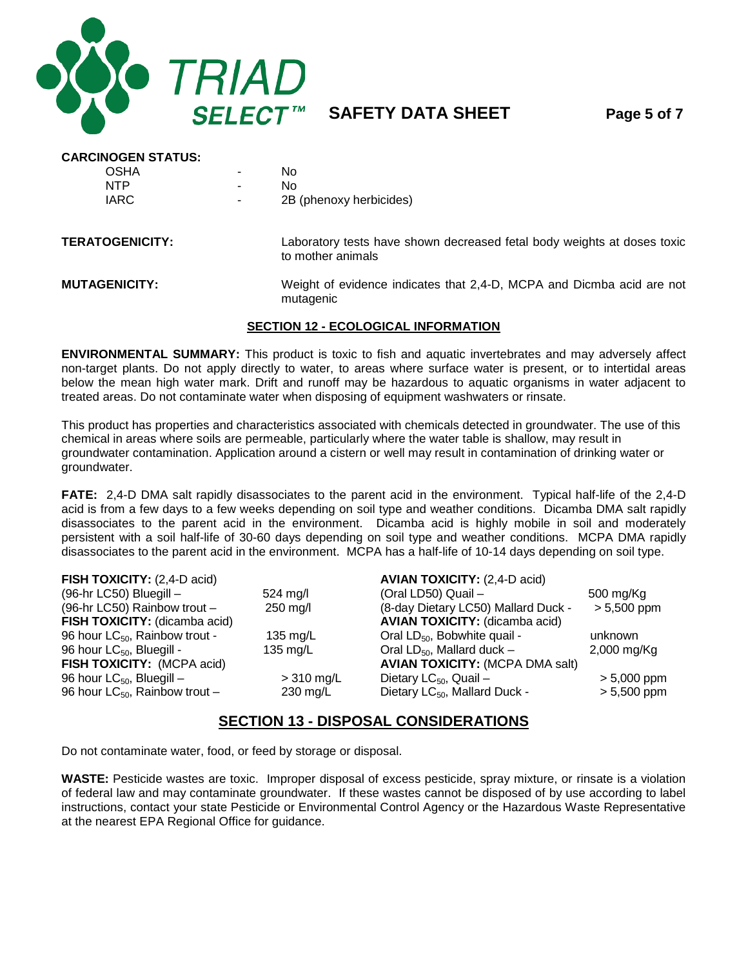

**SAFETY DATA SHEET Page 5 of 7**

| <b>CARCINOGEN STATUS:</b> |                                                                                              |
|---------------------------|----------------------------------------------------------------------------------------------|
| <b>OSHA</b>               | No.                                                                                          |
| <b>NTP</b>                | No                                                                                           |
| <b>IARC</b>               | 2B (phenoxy herbicides)                                                                      |
| <b>TERATOGENICITY:</b>    | Laboratory tests have shown decreased fetal body weights at doses toxic<br>to mother animals |
| <b>MUTAGENICITY:</b>      | Weight of evidence indicates that 2,4-D, MCPA and Dicmba acid are not<br>mutagenic           |

#### **SECTION 12 - ECOLOGICAL INFORMATION**

**ENVIRONMENTAL SUMMARY:** This product is toxic to fish and aquatic invertebrates and may adversely affect non-target plants. Do not apply directly to water, to areas where surface water is present, or to intertidal areas below the mean high water mark. Drift and runoff may be hazardous to aquatic organisms in water adjacent to treated areas. Do not contaminate water when disposing of equipment washwaters or rinsate.

This product has properties and characteristics associated with chemicals detected in groundwater. The use of this chemical in areas where soils are permeable, particularly where the water table is shallow, may result in groundwater contamination. Application around a cistern or well may result in contamination of drinking water or groundwater.

**FATE:** 2,4-D DMA salt rapidly disassociates to the parent acid in the environment. Typical half-life of the 2,4-D acid is from a few days to a few weeks depending on soil type and weather conditions. Dicamba DMA salt rapidly disassociates to the parent acid in the environment. Dicamba acid is highly mobile in soil and moderately persistent with a soil half-life of 30-60 days depending on soil type and weather conditions. MCPA DMA rapidly disassociates to the parent acid in the environment. MCPA has a half-life of 10-14 days depending on soil type.

|                    | <b>AVIAN TOXICITY: (2,4-D acid)</b>       |               |
|--------------------|-------------------------------------------|---------------|
| $524 \text{ mg/l}$ | (Oral LD50) Quail -                       | 500 mg/Kg     |
| 250 mg/l           | (8-day Dietary LC50) Mallard Duck -       | $> 5,500$ ppm |
|                    | <b>AVIAN TOXICITY:</b> (dicamba acid)     |               |
| 135 mg/L           | Oral LD <sub>50</sub> , Bobwhite quail -  | unknown       |
| 135 mg/L           | Oral $LD_{50}$ , Mallard duck -           | $2,000$ mg/Kg |
|                    | <b>AVIAN TOXICITY: (MCPA DMA salt)</b>    |               |
| $>$ 310 mg/L       | Dietary $LC_{50}$ , Quail -               | $> 5,000$ ppm |
| $230 \text{ mg/L}$ | Dietary LC <sub>50</sub> , Mallard Duck - | $> 5,500$ ppm |
|                    |                                           |               |

#### **SECTION 13 - DISPOSAL CONSIDERATIONS**

Do not contaminate water, food, or feed by storage or disposal.

**WASTE:** Pesticide wastes are toxic. Improper disposal of excess pesticide, spray mixture, or rinsate is a violation of federal law and may contaminate groundwater. If these wastes cannot be disposed of by use according to label instructions, contact your state Pesticide or Environmental Control Agency or the Hazardous Waste Representative at the nearest EPA Regional Office for guidance.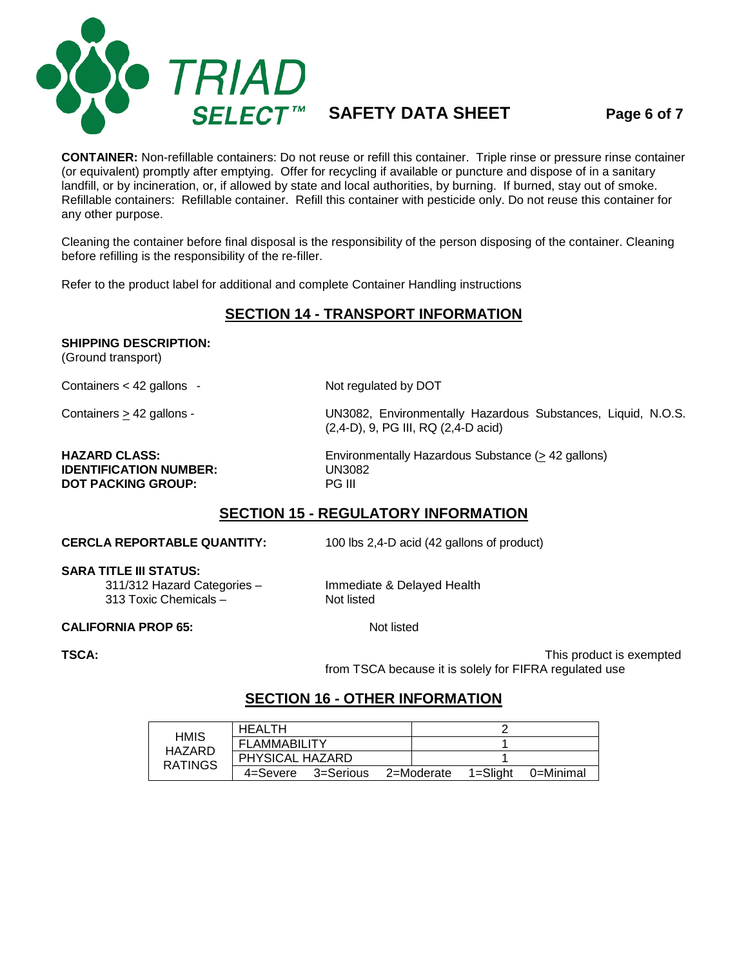

**SAFETY DATA SHEET Page 6 of 7**

**CONTAINER:** Non-refillable containers: Do not reuse or refill this container. Triple rinse or pressure rinse container (or equivalent) promptly after emptying. Offer for recycling if available or puncture and dispose of in a sanitary landfill, or by incineration, or, if allowed by state and local authorities, by burning. If burned, stay out of smoke. Refillable containers: Refillable container. Refill this container with pesticide only. Do not reuse this container for any other purpose.

Cleaning the container before final disposal is the responsibility of the person disposing of the container. Cleaning before refilling is the responsibility of the re-filler.

Refer to the product label for additional and complete Container Handling instructions

#### **SECTION 14 - TRANSPORT INFORMATION**

#### **SHIPPING DESCRIPTION:**

(Ground transport)

Containers < 42 gallons - Not regulated by DOT

Containers > 42 gallons - 
UN3082, Environmentally Hazardous Substances, Liquid, N.O.S. (2,4-D), 9, PG III, RQ (2,4-D acid)

# **IDENTIFICATION NUMBER:** UN308<br> **DOT PACKING GROUP:** PG III **DOT PACKING GROUP:**

**HAZARD CLASS:** Environmentally Hazardous Substance ( $\geq$  42 gallons)<br> **IDENTIFICATION NUMBER:** UN3082

# **SECTION 15 - REGULATORY INFORMATION**

**CERCLA REPORTABLE QUANTITY:** 100 lbs 2,4-D acid (42 gallons of product)

**SARA TITLE III STATUS:**

311/312 Hazard Categories – Immediate & Delayed Health 313 Toxic Chemicals  $-$ 

**CALIFORNIA PROP 65:** Not listed

**TSCA:** TSCA: TSCA: TSCA: TSCA: TSCA: TEXT EXEMPLE TSCA: This product is exempted from TSCA because it is solely for FIFRA regulated use

#### **SECTION 16 - OTHER INFORMATION**

| <b>HEALTH</b><br><b>HMIS</b> |                      |           |  |            |          |           |
|------------------------------|----------------------|-----------|--|------------|----------|-----------|
| HAZARD                       | <b>FI AMMARILITY</b> |           |  |            |          |           |
| <b>RATINGS</b>               | PHYSICAL HAZARD      |           |  |            |          |           |
|                              | 4=Severe             | 3=Serious |  | 2=Moderate | 1=Slight | 0=Minimal |